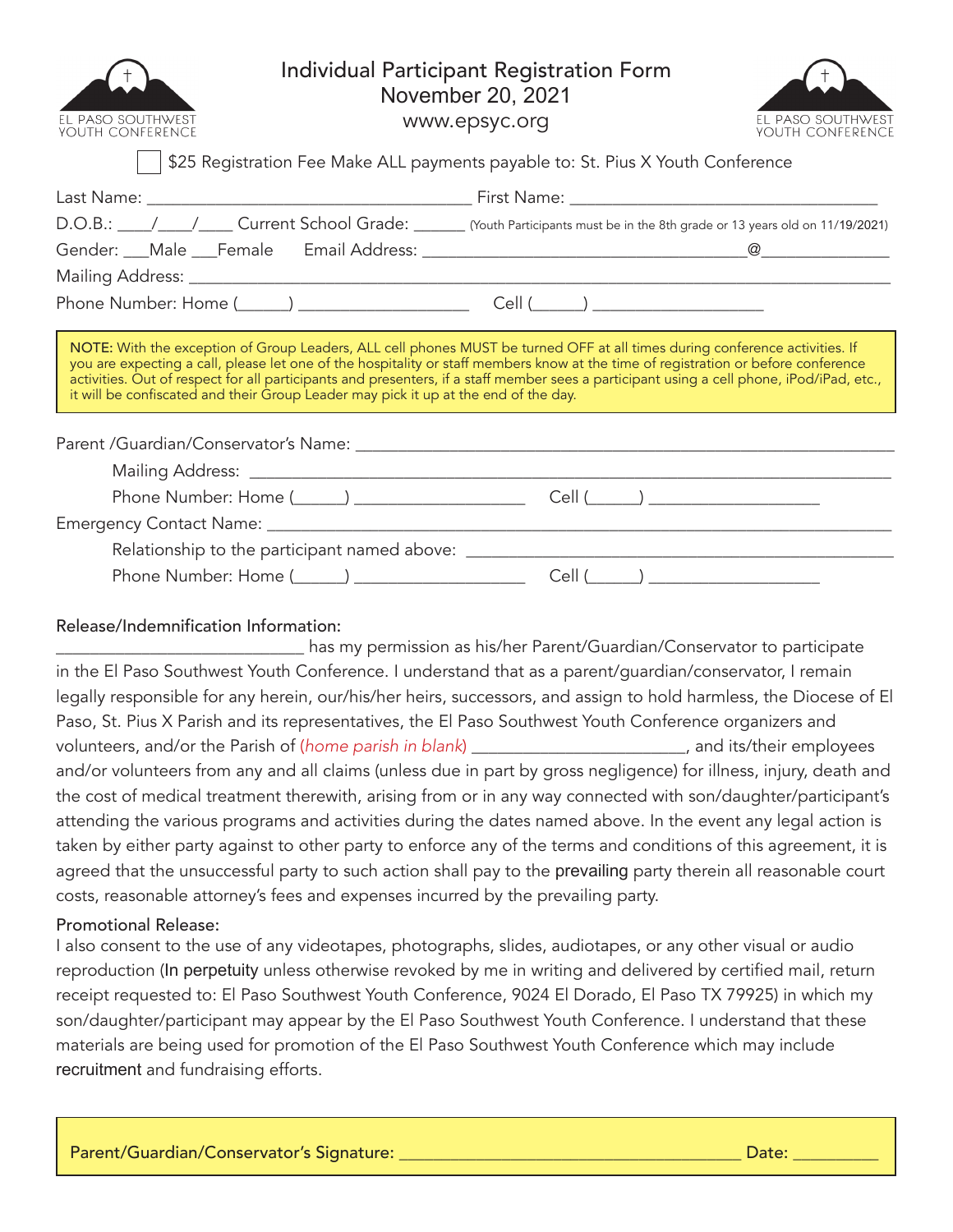| EL PASO SOUTHWEST<br>YOUTH CONFERENCE |  |
|---------------------------------------|--|

# Individual Participant Registration Form November 20, 2021

www.epsyc.org



\$25 Registration Fee Make ALL payments payable to: St. Pius X Youth Conference

|                                                                                     | D.O.B.: ///// Current School Grade: ///// [Youth Participants must be in the 8th grade or 13 years old on 11/19/2021)                                                                                                                                                                                                                                                                                          |  |  |  |  |
|-------------------------------------------------------------------------------------|----------------------------------------------------------------------------------------------------------------------------------------------------------------------------------------------------------------------------------------------------------------------------------------------------------------------------------------------------------------------------------------------------------------|--|--|--|--|
|                                                                                     |                                                                                                                                                                                                                                                                                                                                                                                                                |  |  |  |  |
|                                                                                     |                                                                                                                                                                                                                                                                                                                                                                                                                |  |  |  |  |
|                                                                                     |                                                                                                                                                                                                                                                                                                                                                                                                                |  |  |  |  |
| it will be confiscated and their Group Leader may pick it up at the end of the day. | NOTE: With the exception of Group Leaders, ALL cell phones MUST be turned OFF at all times during conference activities. If<br>you are expecting a call, please let one of the hospitality or staff members know at the time of registration or before conference<br>activities. Out of respect for all participants and presenters, if a staff member sees a participant using a cell phone, iPod/iPad, etc., |  |  |  |  |
|                                                                                     |                                                                                                                                                                                                                                                                                                                                                                                                                |  |  |  |  |
|                                                                                     |                                                                                                                                                                                                                                                                                                                                                                                                                |  |  |  |  |
|                                                                                     |                                                                                                                                                                                                                                                                                                                                                                                                                |  |  |  |  |
|                                                                                     |                                                                                                                                                                                                                                                                                                                                                                                                                |  |  |  |  |
|                                                                                     |                                                                                                                                                                                                                                                                                                                                                                                                                |  |  |  |  |
|                                                                                     |                                                                                                                                                                                                                                                                                                                                                                                                                |  |  |  |  |

## Release/Indemnification Information:

\_\_\_\_\_\_\_\_\_\_\_\_\_\_\_\_\_\_\_\_\_\_\_\_\_\_\_\_\_ has my permission as his/her Parent/Guardian/Conservator to participate in the El Paso Southwest Youth Conference. I understand that as a parent/guardian/conservator, I remain legally responsible for any herein, our/his/her heirs, successors, and assign to hold harmless, the Diocese of El Paso, St. Pius X Parish and its representatives, the El Paso Southwest Youth Conference organizers and volunteers, and/or the Parish of (*home parish in blank*) \_\_\_\_\_\_\_\_\_\_\_\_\_\_\_\_\_\_\_\_\_\_\_\_\_, and its/their employees and/or volunteers from any and all claims (unless due in part by gross negligence) for illness, injury, death and the cost of medical treatment therewith, arising from or in any way connected with son/daughter/participant's attending the various programs and activities during the dates named above. In the event any legal action is taken by either party against to other party to enforce any of the terms and conditions of this agreement, it is agreed that the unsuccessful party to such action shall pay to the prevailing party therein all reasonable court costs, reasonable attorney's fees and expenses incurred by the prevailing party.

## Promotional Release:

I also consent to the use of any videotapes, photographs, slides, audiotapes, or any other visual or audio reproduction (In perpetuity unless otherwise revoked by me in writing and delivered by certified mail, return receipt requested to: El Paso Southwest Youth Conference, 9024 El Dorado, El Paso TX 79925) in which my son/daughter/participant may appear by the El Paso Southwest Youth Conference. I understand that these materials are being used for promotion of the El Paso Southwest Youth Conference which may include recruitment and fundraising efforts.